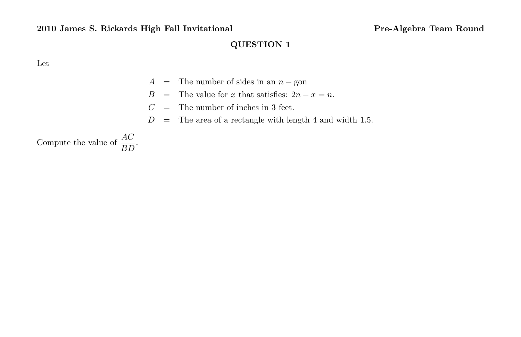Let

- A = The number of sides in an  $n g$ on
- B = The value for x that satisfies:  $2n x = n$ .
- $C =$  The number of inches in 3 feet.
- $D =$  The area of a rectangle with length 4 and width 1.5.

Compute the value of  $\frac{AC}{BD}$ .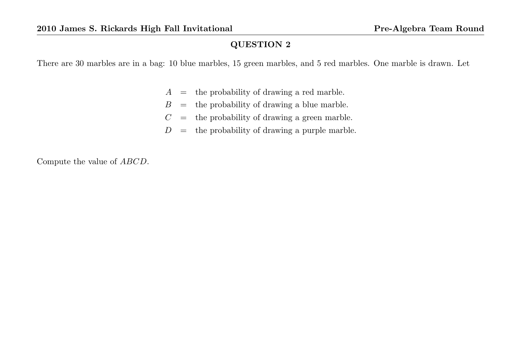There are 30 marbles are in a bag: 10 blue marbles, 15 green marbles, and 5 red marbles. One marble is drawn. Let

- $A =$  the probability of drawing a red marble.
- $B =$  the probability of drawing a blue marble.
- $C =$  the probability of drawing a green marble.
- $D =$  the probability of drawing a purple marble.

Compute the value of ABCD.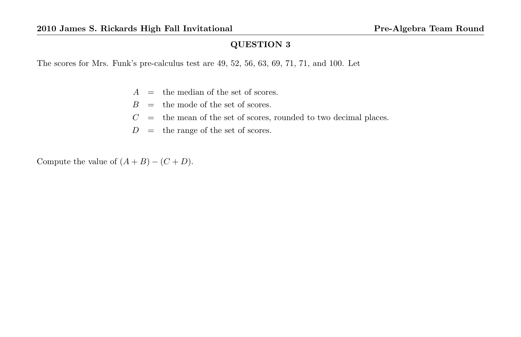The scores for Mrs. Funk's pre-calculus test are 49, 52, 56, 63, 69, 71, 71, and 100. Let

- $A =$  the median of the set of scores.
- $B =$  the mode of the set of scores.
- $C =$  the mean of the set of scores, rounded to two decimal places.
- $D =$  the range of the set of scores.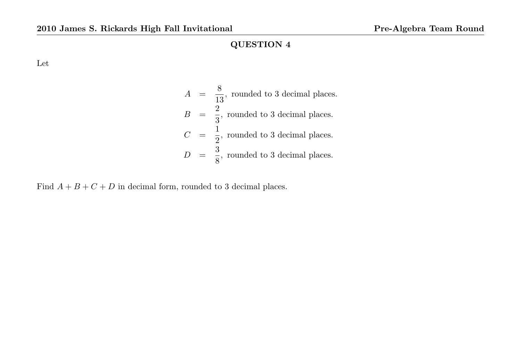Let

$$
A = \frac{8}{13}
$$
, rounded to 3 decimal places.  
\n
$$
B = \frac{2}{3}
$$
, rounded to 3 decimal places.  
\n
$$
C = \frac{1}{2}
$$
, rounded to 3 decimal places.  
\n
$$
D = \frac{3}{8}
$$
, rounded to 3 decimal places.

Find  $A + B + C + D$  in decimal form, rounded to 3 decimal places.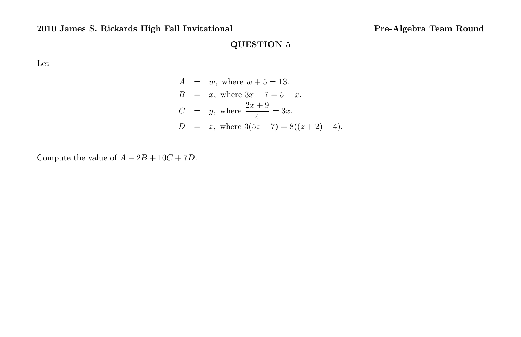Let

$$
A = w, \text{ where } w + 5 = 13.
$$
  
\n
$$
B = x, \text{ where } 3x + 7 = 5 - x.
$$
  
\n
$$
C = y, \text{ where } \frac{2x + 9}{4} = 3x.
$$
  
\n
$$
D = z, \text{ where } 3(5z - 7) = 8((z + 2) - 4).
$$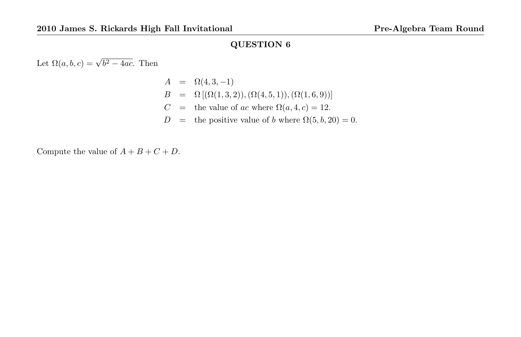Let  $\Omega(a, b, c) = \sqrt{b^2 - 4ac}$ . Then

 $A = \Omega(4, 3, -1)$  $B = \Omega [(\Omega(1,3,2)),(\Omega(4,5,1)),(\Omega(1,6,9))]$ C = the value of ac where  $\Omega(a, 4, c) = 12$ .  $D =$  the positive value of b where  $\Omega(5, b, 20) = 0$ .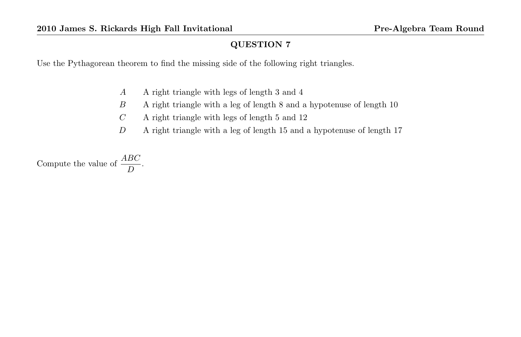Use the Pythagorean theorem to find the missing side of the following right triangles.

- A A right triangle with legs of length 3 and 4
- B A right triangle with a leg of length 8 and a hypotenuse of length 10
- $C$  A right triangle with legs of length 5 and 12
- D A right triangle with a leg of length 15 and a hypotenuse of length 17

Compute the value of  $\frac{ABC}{D}$ .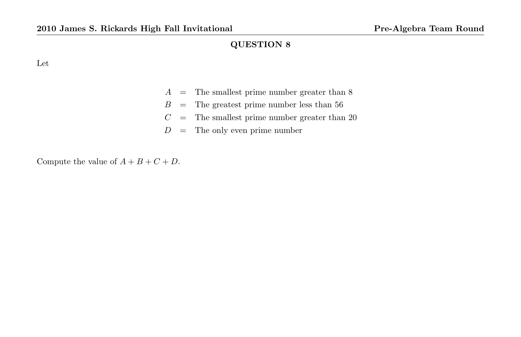Let

| А | The smallest prime number greater than 8 |  |  |  |  |  |
|---|------------------------------------------|--|--|--|--|--|
|---|------------------------------------------|--|--|--|--|--|

- $B =$  The greatest prime number less than 56
- $C =$  The smallest prime number greater than 20
- $D =$  The only even prime number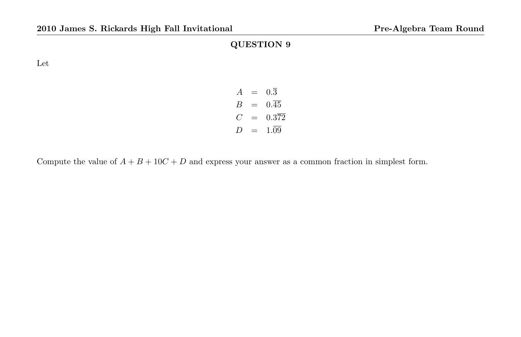Let

| A  | $\equiv$ | 0.3      |
|----|----------|----------|
| В  | $=$      | 0.45     |
| C. | $=$      | 0.372    |
| 7) | $=$      | $1.09 -$ |

Compute the value of  $A + B + 10C + D$  and express your answer as a common fraction in simplest form.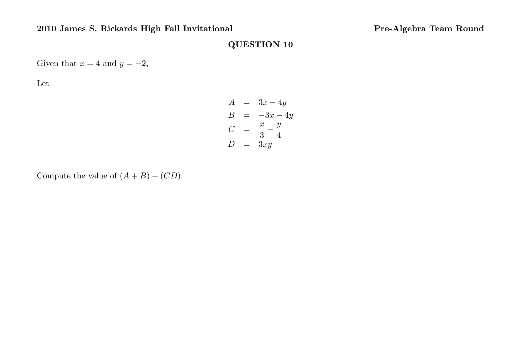Given that  $x = 4$  and  $y = -2$ ,

Let

$$
A = 3x - 4y
$$
  
\n
$$
B = -3x - 4y
$$
  
\n
$$
C = \frac{x}{3} - \frac{y}{4}
$$
  
\n
$$
D = 3xy
$$

Compute the value of  $(A + B) - (CD)$ .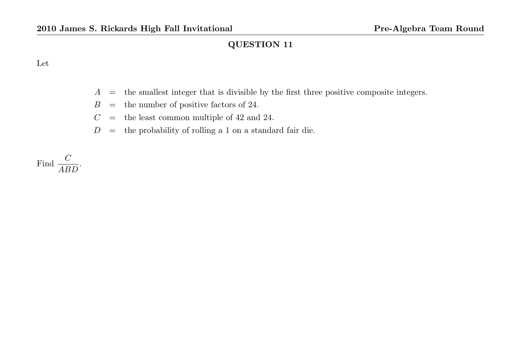#### Let

- $A =$  the smallest integer that is divisible by the first three positive composite integers.
- $B =$  the number of positive factors of 24.
- $C =$  the least common multiple of 42 and 24.
- $D =$  the probability of rolling a 1 on a standard fair die.

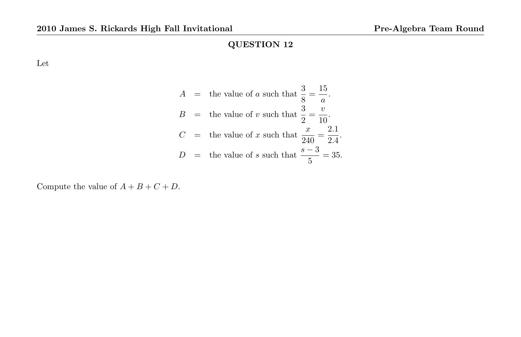Let

$$
A = \text{the value of } a \text{ such that } \frac{3}{8} = \frac{15}{a}.
$$
  
\n
$$
B = \text{the value of } v \text{ such that } \frac{3}{2} = \frac{v}{10}.
$$
  
\n
$$
C = \text{the value of } x \text{ such that } \frac{x}{240} = \frac{2.1}{2.4}.
$$
  
\n
$$
D = \text{the value of } s \text{ such that } \frac{s-3}{5} = 35.
$$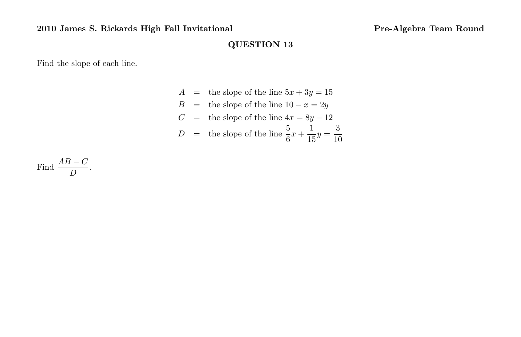Find the slope of each line.

 $A =$  the slope of the line  $5x + 3y = 15$ B = the slope of the line  $10 - x = 2y$  $C =$  the slope of the line  $4x = 8y - 12$  $D =$  the slope of the line  $\frac{5}{6}x + \frac{1}{15}$  $\frac{1}{15}y = \frac{3}{10}$ 10